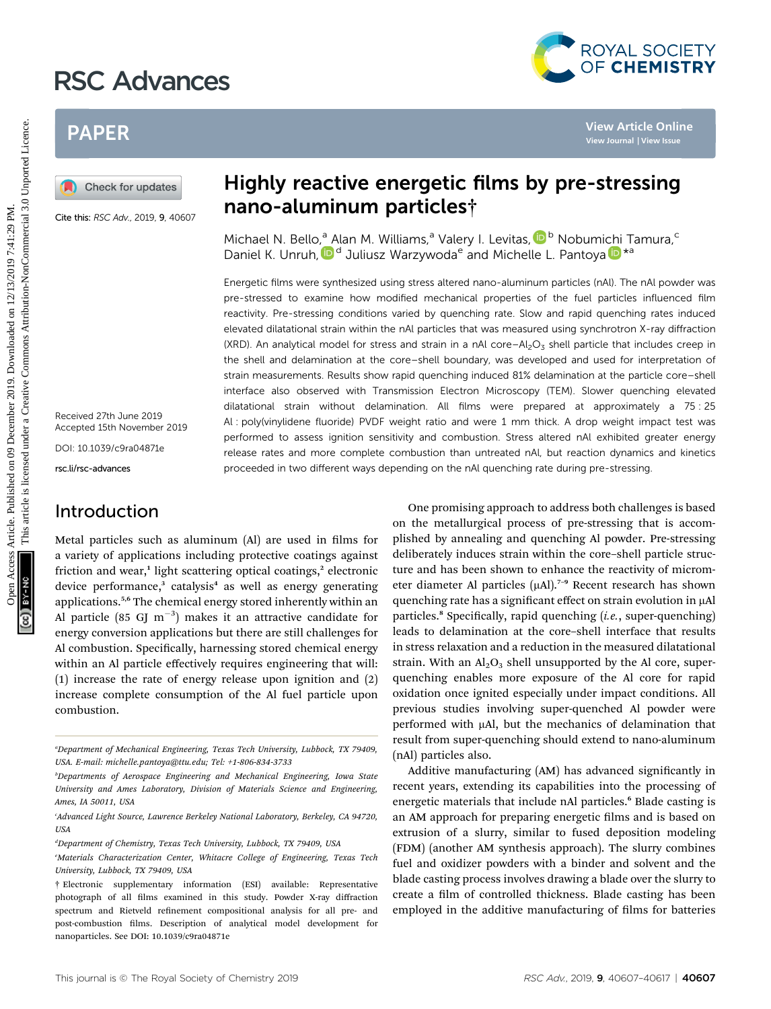# RSC Advances



# PAPER

Cite this: RSC Adv., 2019, 9, 40607

Received 27th June 2019 Accepted 15th November 2019

DOI: 10.1039/c9ra04871e

rsc.li/rsc-advances

## Introduction

# Highly reactive energetic films by pre-stressing nano-aluminum particles†

Michael N. Bello[,](http://orcid.org/0000-0001-8556-4419)<sup>a</sup> Alan M. Williams,<sup>a</sup> Valery I. Levitas, D<sup>b</sup> Nobumi[chi](http://orcid.org/0000-0003-0299-1832) Tamura,<sup>c</sup> Daniel K. Unruh[,](http://orcid.org/0000-0002-2594-5786)  $\mathbb{D}^d$  Juliusz Warzywoda<sup>e</sup> and Michelle L. Pantoya  $\mathbb{D}^{*a}$ 

Energetic films were synthesized using stress altered nano-aluminum particles (nAl). The nAl powder was pre-stressed to examine how modified mechanical properties of the fuel particles influenced film reactivity. Pre-stressing conditions varied by quenching rate. Slow and rapid quenching rates induced elevated dilatational strain within the nAl particles that was measured using synchrotron X-ray diffraction (XRD). An analytical model for stress and strain in a nAl core– $Al_2O_3$  shell particle that includes creep in the shell and delamination at the core–shell boundary, was developed and used for interpretation of strain measurements. Results show rapid quenching induced 81% delamination at the particle core–shell interface also observed with Transmission Electron Microscopy (TEM). Slower quenching elevated dilatational strain without delamination. All films were prepared at approximately a 75 : 25 Al : poly(vinylidene fluoride) PVDF weight ratio and were 1 mm thick. A drop weight impact test was performed to assess ignition sensitivity and combustion. Stress altered nAl exhibited greater energy release rates and more complete combustion than untreated nAl, but reaction dynamics and kinetics proceeded in two different ways depending on the nAl quenching rate during pre-stressing. **PAPER**<br> **CALCOM**<br> **CALCOM CROSS CONSULTER SUBDISHER CALCONS CONSULTER SUBDISHER CALCONS CONSULTER SUBDISHER CALCONS CONSULTER SUBDISHER CALCONS CONSULTER SUBDISHER CALCONS CONSULTER SUBDISHER CALCONS CONSULTER SUBDISHER** 

Metal particles such as aluminum (Al) are used in films for a variety of applications including protective coatings against friction and wear,<sup>1</sup> light scattering optical coatings,<sup>2</sup> electronic device performance, $3$  catalysis<sup>4</sup> as well as energy generating applications.5,6 The chemical energy stored inherently within an Al particle (85 GJ  $\text{m}^{-3}$ ) makes it an attractive candidate for energy conversion applications but there are still challenges for Al combustion. Specifically, harnessing stored chemical energy within an Al particle effectively requires engineering that will: (1) increase the rate of energy release upon ignition and (2) increase complete consumption of the Al fuel particle upon combustion.

One promising approach to address both challenges is based on the metallurgical process of pre-stressing that is accomplished by annealing and quenching Al powder. Pre-stressing deliberately induces strain within the core–shell particle structure and has been shown to enhance the reactivity of micrometer diameter Al particles  $(\mu A)$ .<sup>7-9</sup> Recent research has shown quenching rate has a significant effect on strain evolution in µAl particles.<sup>8</sup> Specifically, rapid quenching  $(i.e., super-quenching)$ leads to delamination at the core–shell interface that results in stress relaxation and a reduction in the measured dilatational strain. With an  $Al_2O_3$  shell unsupported by the Al core, superquenching enables more exposure of the Al core for rapid oxidation once ignited especially under impact conditions. All previous studies involving super-quenched Al powder were performed with  $\mu$ Al, but the mechanics of delamination that result from super-quenching should extend to nano-aluminum (nAl) particles also.

Additive manufacturing (AM) has advanced significantly in recent years, extending its capabilities into the processing of energetic materials that include nAl particles.<sup>6</sup> Blade casting is an AM approach for preparing energetic films and is based on extrusion of a slurry, similar to fused deposition modeling (FDM) (another AM synthesis approach). The slurry combines fuel and oxidizer powders with a binder and solvent and the blade casting process involves drawing a blade over the slurry to create a film of controlled thickness. Blade casting has been employed in the additive manufacturing of films for batteries

a Department of Mechanical Engineering, Texas Tech University, Lubbock, TX 79409, USA. E-mail: michelle.pantoya@ttu.edu; Tel: +1-806-834-3733

b Departments of Aerospace Engineering and Mechanical Engineering, Iowa State University and Ames Laboratory, Division of Materials Science and Engineering, Ames, IA 50011, USA

c Advanced Light Source, Lawrence Berkeley National Laboratory, Berkeley, CA 94720, USA

d Department of Chemistry, Texas Tech University, Lubbock, TX 79409, USA

e Materials Characterization Center, Whitacre College of Engineering, Texas Tech University, Lubbock, TX 79409, USA

<sup>†</sup> Electronic supplementary information (ESI) available: Representative photograph of all films examined in this study. Powder X-ray diffraction spectrum and Rietveld refinement compositional analysis for all pre- and post-combustion films. Description of analytical model development for nanoparticles. See DOI: 10.1039/c9ra04871e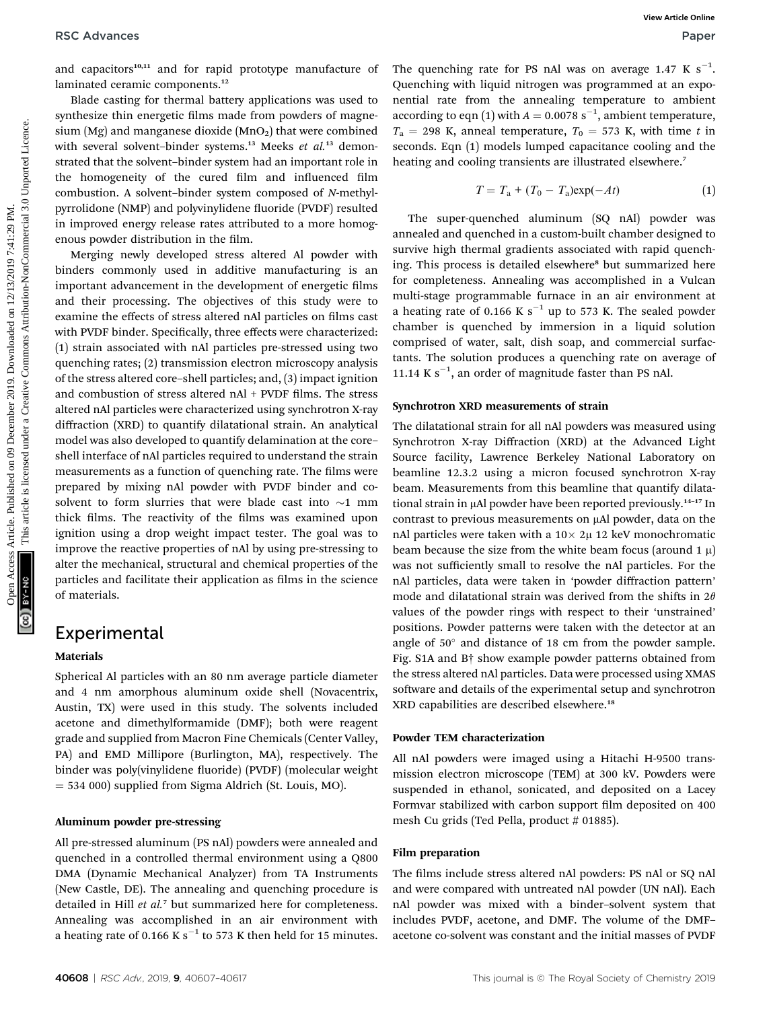and capacitors<sup>10,11</sup> and for rapid prototype manufacture of laminated ceramic components.<sup>12</sup>

Blade casting for thermal battery applications was used to synthesize thin energetic films made from powders of magnesium (Mg) and manganese dioxide  $(MnO<sub>2</sub>)$  that were combined with several solvent-binder systems.<sup>13</sup> Meeks et al.<sup>13</sup> demonstrated that the solvent–binder system had an important role in the homogeneity of the cured film and influenced film combustion. A solvent–binder system composed of N-methylpyrrolidone (NMP) and polyvinylidene fluoride (PVDF) resulted in improved energy release rates attributed to a more homogenous powder distribution in the film.

Merging newly developed stress altered Al powder with binders commonly used in additive manufacturing is an important advancement in the development of energetic films and their processing. The objectives of this study were to examine the effects of stress altered nAl particles on films cast with PVDF binder. Specifically, three effects were characterized: (1) strain associated with nAl particles pre-stressed using two quenching rates; (2) transmission electron microscopy analysis of the stress altered core–shell particles; and, (3) impact ignition and combustion of stress altered  $nAI + PVDF$  films. The stress altered nAl particles were characterized using synchrotron X-ray diffraction (XRD) to quantify dilatational strain. An analytical model was also developed to quantify delamination at the core– shell interface of nAl particles required to understand the strain measurements as a function of quenching rate. The films were prepared by mixing nAl powder with PVDF binder and cosolvent to form slurries that were blade cast into  $\sim$ 1 mm thick films. The reactivity of the films was examined upon ignition using a drop weight impact tester. The goal was to improve the reactive properties of nAl by using pre-stressing to alter the mechanical, structural and chemical properties of the particles and facilitate their application as films in the science of materials. RSC Advances Constants"<br>
Macce Constant Constant Constant Constant Constant Constant Constant Constant Constant Constant Constant Constant Constant Constant Constant Constant Constant Constant Constant Constant Constant C

### Experimental

#### Materials

Spherical Al particles with an 80 nm average particle diameter and 4 nm amorphous aluminum oxide shell (Novacentrix, Austin, TX) were used in this study. The solvents included acetone and dimethylformamide (DMF); both were reagent grade and supplied from Macron Fine Chemicals (Center Valley, PA) and EMD Millipore (Burlington, MA), respectively. The binder was poly(vinylidene fluoride) (PVDF) (molecular weight  $=$  534 000) supplied from Sigma Aldrich (St. Louis, MO).

#### Aluminum powder pre-stressing

All pre-stressed aluminum (PS nAl) powders were annealed and quenched in a controlled thermal environment using a Q800 DMA (Dynamic Mechanical Analyzer) from TA Instruments (New Castle, DE). The annealing and quenching procedure is detailed in Hill et al.<sup>7</sup> but summarized here for completeness. Annealing was accomplished in an air environment with a heating rate of 0.166 K s<sup>-1</sup> to 573 K then held for 15 minutes.

The quenching rate for PS nAl was on average 1.47 K  $s^{-1}$ . Quenching with liquid nitrogen was programmed at an exponential rate from the annealing temperature to ambient according to eqn (1) with  $A = 0.0078 \text{ s}^{-1}$ , ambient temperature,  $T_a = 298$  K, anneal temperature,  $T_0 = 573$  K, with time t in seconds. Eqn (1) models lumped capacitance cooling and the heating and cooling transients are illustrated elsewhere.<sup>7</sup>

$$
T = T_a + (T_0 - T_a) \exp(-At)
$$
 (1)

The super-quenched aluminum (SQ nAl) powder was annealed and quenched in a custom-built chamber designed to survive high thermal gradients associated with rapid quenching. This process is detailed elsewhere<sup>8</sup> but summarized here for completeness. Annealing was accomplished in a Vulcan multi-stage programmable furnace in an air environment at a heating rate of 0.166 K  $s^{-1}$  up to 573 K. The sealed powder chamber is quenched by immersion in a liquid solution comprised of water, salt, dish soap, and commercial surfactants. The solution produces a quenching rate on average of 11.14 K  $s^{-1}$ , an order of magnitude faster than PS nAl.

#### Synchrotron XRD measurements of strain

The dilatational strain for all nAl powders was measured using Synchrotron X-ray Diffraction (XRD) at the Advanced Light Source facility, Lawrence Berkeley National Laboratory on beamline 12.3.2 using a micron focused synchrotron X-ray beam. Measurements from this beamline that quantify dilatational strain in µAl powder have been reported previously.<sup>14-17</sup> In contrast to previous measurements on µAl powder, data on the nAl particles were taken with a  $10 \times 2\mu$  12 keV monochromatic beam because the size from the white beam focus (around 1  $\mu$ ) was not sufficiently small to resolve the nAl particles. For the nAl particles, data were taken in 'powder diffraction pattern' mode and dilatational strain was derived from the shifts in  $2\theta$ values of the powder rings with respect to their 'unstrained' positions. Powder patterns were taken with the detector at an angle of  $50^\circ$  and distance of 18 cm from the powder sample. Fig. S1A and B† show example powder patterns obtained from the stress altered nAl particles. Data were processed using XMAS software and details of the experimental setup and synchrotron XRD capabilities are described elsewhere.<sup>18</sup>

#### Powder TEM characterization

All nAl powders were imaged using a Hitachi H-9500 transmission electron microscope (TEM) at 300 kV. Powders were suspended in ethanol, sonicated, and deposited on a Lacey Formvar stabilized with carbon support film deposited on 400 mesh Cu grids (Ted Pella, product # 01885).

#### Film preparation

The films include stress altered nAl powders: PS nAl or SQ nAl and were compared with untreated nAl powder (UN nAl). Each nAl powder was mixed with a binder–solvent system that includes PVDF, acetone, and DMF. The volume of the DMF– acetone co-solvent was constant and the initial masses of PVDF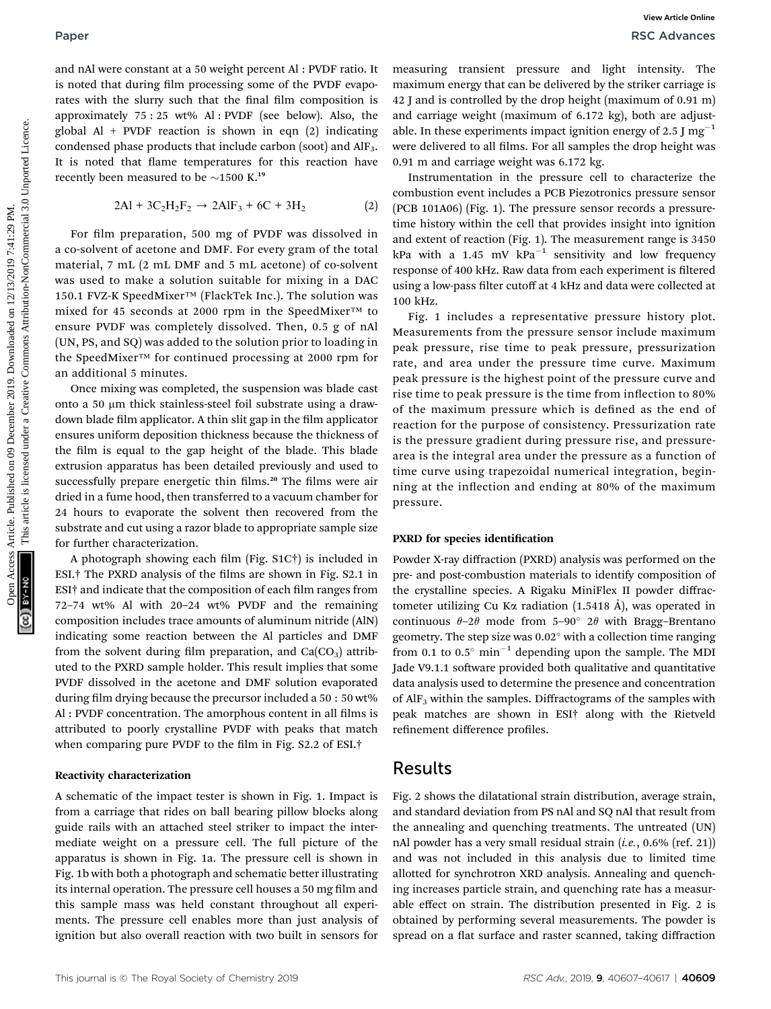and nAl were constant at a 50 weight percent Al : PVDF ratio. It is noted that during film processing some of the PVDF evaporates with the slurry such that the final film composition is approximately 75 : 25 wt% Al : PVDF (see below). Also, the global Al + PVDF reaction is shown in eqn  $(2)$  indicating condensed phase products that include carbon (soot) and AlF3. It is noted that flame temperatures for this reaction have recently been measured to be  $\sim$ 1500 K.<sup>19</sup>

$$
2Al + 3C_2H_2F_2 \to 2AlF_3 + 6C + 3H_2 \tag{2}
$$

For film preparation, 500 mg of PVDF was dissolved in a co-solvent of acetone and DMF. For every gram of the total material, 7 mL (2 mL DMF and 5 mL acetone) of co-solvent was used to make a solution suitable for mixing in a DAC 150.1 FVZ-K SpeedMixer™ (FlackTek Inc.). The solution was mixed for 45 seconds at 2000 rpm in the SpeedMixer™ to ensure PVDF was completely dissolved. Then, 0.5 g of nAl (UN, PS, and SQ) was added to the solution prior to loading in the SpeedMixer™ for continued processing at 2000 rpm for an additional 5 minutes.

Once mixing was completed, the suspension was blade cast onto a 50 µm thick stainless-steel foil substrate using a drawdown blade film applicator. A thin slit gap in the film applicator ensures uniform deposition thickness because the thickness of the film is equal to the gap height of the blade. This blade extrusion apparatus has been detailed previously and used to successfully prepare energetic thin films.<sup>20</sup> The films were air dried in a fume hood, then transferred to a vacuum chamber for 24 hours to evaporate the solvent then recovered from the substrate and cut using a razor blade to appropriate sample size for further characterization.

A photograph showing each film (Fig.  $S1C\dagger$ ) is included in ESI.<sup>†</sup> The PXRD analysis of the films are shown in Fig. S2.1 in  $ESI<sup>†</sup>$  and indicate that the composition of each film ranges from 72–74 wt% Al with 20–24 wt% PVDF and the remaining composition includes trace amounts of aluminum nitride (AlN) indicating some reaction between the Al particles and DMF from the solvent during film preparation, and  $Ca(CO<sub>3</sub>)$  attributed to the PXRD sample holder. This result implies that some PVDF dissolved in the acetone and DMF solution evaporated during film drying because the precursor included a 50 : 50 wt% Al : PVDF concentration. The amorphous content in all films is attributed to poorly crystalline PVDF with peaks that match when comparing pure PVDF to the film in Fig.  $S2.2$  of ESI.<sup>†</sup>

#### Reactivity characterization

A schematic of the impact tester is shown in Fig. 1. Impact is from a carriage that rides on ball bearing pillow blocks along guide rails with an attached steel striker to impact the intermediate weight on a pressure cell. The full picture of the apparatus is shown in Fig. 1a. The pressure cell is shown in Fig. 1b with both a photograph and schematic better illustrating its internal operation. The pressure cell houses a 50 mg film and this sample mass was held constant throughout all experiments. The pressure cell enables more than just analysis of ignition but also overall reaction with two built in sensors for

measuring transient pressure and light intensity. The maximum energy that can be delivered by the striker carriage is 42 J and is controlled by the drop height (maximum of 0.91 m) and carriage weight (maximum of 6.172 kg), both are adjustable. In these experiments impact ignition energy of 2.5 J mg<sup>-1</sup> were delivered to all films. For all samples the drop height was 0.91 m and carriage weight was 6.172 kg.

Instrumentation in the pressure cell to characterize the combustion event includes a PCB Piezotronics pressure sensor (PCB 101A06) (Fig. 1). The pressure sensor records a pressuretime history within the cell that provides insight into ignition and extent of reaction (Fig. 1). The measurement range is 3450 kPa with a 1.45 mV  $kPa^{-1}$  sensitivity and low frequency response of 400 kHz. Raw data from each experiment is filtered using a low-pass filter cutoff at 4 kHz and data were collected at 100 kHz.

Fig. 1 includes a representative pressure history plot. Measurements from the pressure sensor include maximum peak pressure, rise time to peak pressure, pressurization rate, and area under the pressure time curve. Maximum peak pressure is the highest point of the pressure curve and rise time to peak pressure is the time from inflection to 80% of the maximum pressure which is defined as the end of reaction for the purpose of consistency. Pressurization rate is the pressure gradient during pressure rise, and pressurearea is the integral area under the pressure as a function of time curve using trapezoidal numerical integration, beginning at the inflection and ending at 80% of the maximum pressure. **Paper**<br> **One Columnist Article in the Columnist Article in the Columnist Article in the Columnist Article in the Columnist Article in the Columnist Article in the Columnist Article in the Columnist Article is licensed un** 

#### PXRD for species identification

Powder X-ray diffraction (PXRD) analysis was performed on the pre- and post-combustion materials to identify composition of the crystalline species. A Rigaku MiniFlex II powder diffractometer utilizing Cu K $\alpha$  radiation (1.5418 Å), was operated in continuous  $\theta$ –2 $\theta$  mode from 5–90° 2 $\theta$  with Bragg–Brentano geometry. The step size was  $0.02^{\circ}$  with a collection time ranging from 0.1 to 0.5 $^{\circ}$  min<sup>-1</sup> depending upon the sample. The MDI Jade V9.1.1 software provided both qualitative and quantitative data analysis used to determine the presence and concentration of  $\text{AlF}_3$  within the samples. Diffractograms of the samples with peak matches are shown in ESI† along with the Rietveld refinement difference profiles.

#### Results

Fig. 2 shows the dilatational strain distribution, average strain, and standard deviation from PS nAl and SQ nAl that result from the annealing and quenching treatments. The untreated (UN) nAl powder has a very small residual strain  $(i.e., 0.6\%$  (ref. 21)) and was not included in this analysis due to limited time allotted for synchrotron XRD analysis. Annealing and quenching increases particle strain, and quenching rate has a measurable effect on strain. The distribution presented in Fig. 2 is obtained by performing several measurements. The powder is spread on a flat surface and raster scanned, taking diffraction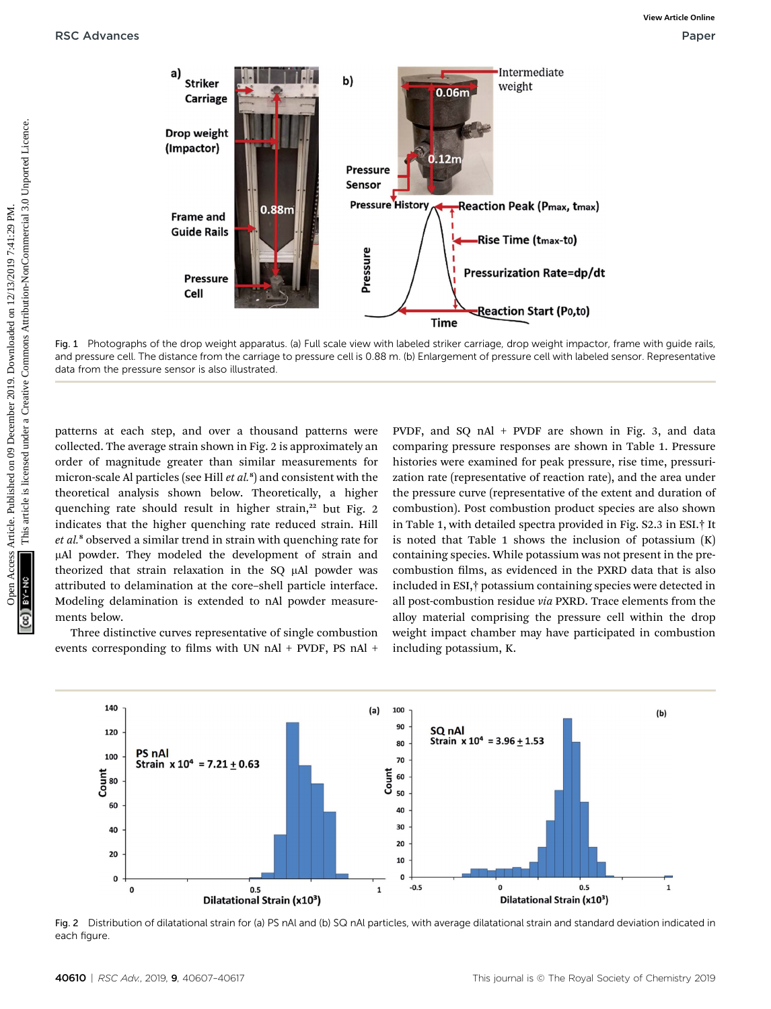

Fig. 1 Photographs of the drop weight apparatus. (a) Full scale view with labeled striker carriage, drop weight impactor, frame with guide rails, and pressure cell. The distance from the carriage to pressure cell is 0.88 m. (b) Enlargement of pressure cell with labeled sensor. Representative data from the pressure sensor is also illustrated.

patterns at each step, and over a thousand patterns were collected. The average strain shown in Fig. 2 is approximately an order of magnitude greater than similar measurements for micron-scale Al particles (see Hill *et al.*  $^{\rm s}$ ) and consistent with the theoretical analysis shown below. Theoretically, a higher quenching rate should result in higher strain,<sup>22</sup> but Fig. 2 indicates that the higher quenching rate reduced strain. Hill et al.<sup>8</sup> observed a similar trend in strain with quenching rate for mAl powder. They modeled the development of strain and theorized that strain relaxation in the SQ µAl powder was attributed to delamination at the core–shell particle interface. Modeling delamination is extended to nAl powder measurements below.

Three distinctive curves representative of single combustion events corresponding to films with UN nAl + PVDF, PS nAl +

PVDF, and SQ nAl + PVDF are shown in Fig. 3, and data comparing pressure responses are shown in Table 1. Pressure histories were examined for peak pressure, rise time, pressurization rate (representative of reaction rate), and the area under the pressure curve (representative of the extent and duration of combustion). Post combustion product species are also shown in Table 1, with detailed spectra provided in Fig. S2.3 in ESI.† It is noted that Table 1 shows the inclusion of potassium (K) containing species. While potassium was not present in the precombustion films, as evidenced in the PXRD data that is also included in ESI,† potassium containing species were detected in all post-combustion residue via PXRD. Trace elements from the alloy material comprising the pressure cell within the drop weight impact chamber may have participated in combustion including potassium, K.



Fig. 2 Distribution of dilatational strain for (a) PS nAl and (b) SQ nAl particles, with average dilatational strain and standard deviation indicated in each figure.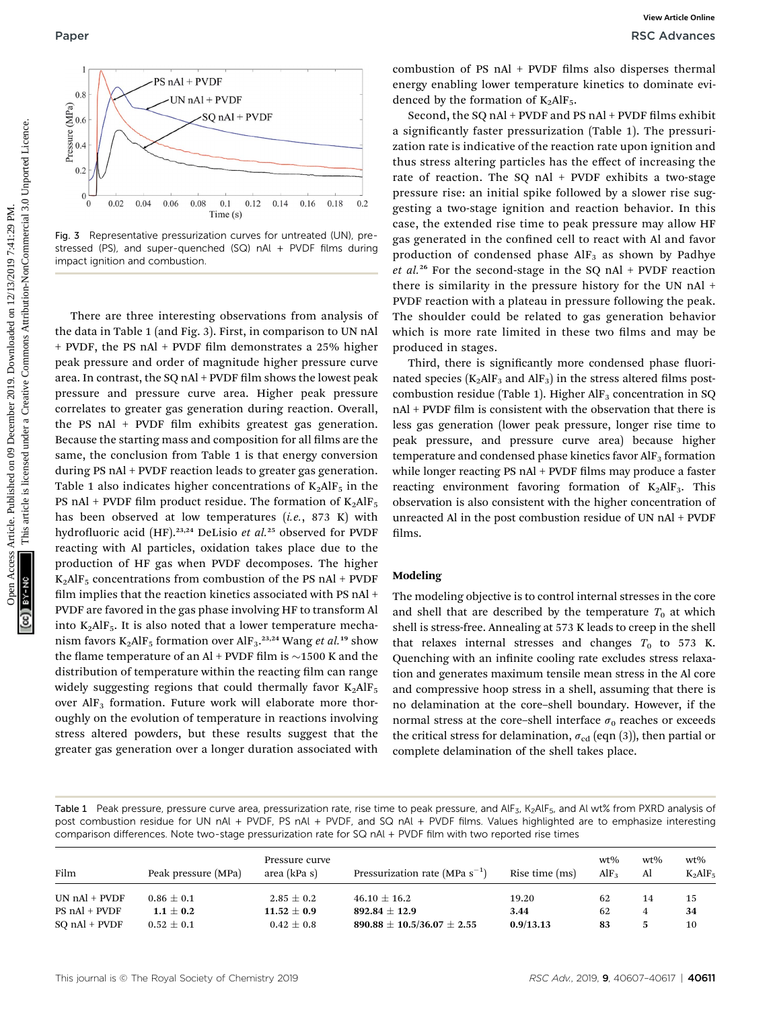

Fig. 3 Representative pressurization curves for untreated (UN), prestressed (PS), and super-quenched (SQ) nAl + PVDF films during impact ignition and combustion.

There are three interesting observations from analysis of the data in Table 1 (and Fig. 3). First, in comparison to UN nAl + PVDF, the PS nAl + PVDF film demonstrates a 25% higher peak pressure and order of magnitude higher pressure curve area. In contrast, the SQ nAl + PVDF film shows the lowest peak pressure and pressure curve area. Higher peak pressure correlates to greater gas generation during reaction. Overall, the PS nAl + PVDF film exhibits greatest gas generation. Because the starting mass and composition for all films are the same, the conclusion from Table 1 is that energy conversion during PS nAl + PVDF reaction leads to greater gas generation. Table 1 also indicates higher concentrations of  $K_2AIF_5$  in the PS nAl + PVDF film product residue. The formation of  $K_2AlF_5$ has been observed at low temperatures  $(i.e., 873 K)$  with hydrofluoric acid (HF).<sup>23,24</sup> DeLisio et al.<sup>25</sup> observed for PVDF reacting with Al particles, oxidation takes place due to the production of HF gas when PVDF decomposes. The higher  $K_2$ AlF<sub>5</sub> concentrations from combustion of the PS nAl + PVDF film implies that the reaction kinetics associated with PS nAl  $+$ PVDF are favored in the gas phase involving HF to transform Al into  $K_2$ AlF<sub>5</sub>. It is also noted that a lower temperature mechanism favors  $K_2 AIF_5$  formation over  $AIF_3$ .<sup>23,24</sup> Wang *et al.*<sup>19</sup> show the flame temperature of an Al + PVDF film is  $\sim$ 1500 K and the distribution of temperature within the reacting film can range widely suggesting regions that could thermally favor  $K_2AIF_5$ over  $\text{AlF}_3$  formation. Future work will elaborate more thoroughly on the evolution of temperature in reactions involving stress altered powders, but these results suggest that the greater gas generation over a longer duration associated with Paper<br>  $\frac{1}{2}$   $\frac{1}{2}$   $\frac{1}{2}$   $\frac{1}{2}$   $\frac{1}{2}$   $\frac{1}{2}$   $\frac{1}{2}$   $\frac{1}{2}$   $\frac{1}{2}$   $\frac{1}{2}$   $\frac{1}{2}$   $\frac{1}{2}$   $\frac{1}{2}$   $\frac{1}{2}$   $\frac{1}{2}$   $\frac{1}{2}$   $\frac{1}{2}$   $\frac{1}{2}$   $\frac{1}{2}$   $\frac{1}{2}$   $\frac{1}{2}$   $\frac{$ 

combustion of PS nAl + PVDF films also disperses thermal energy enabling lower temperature kinetics to dominate evidenced by the formation of  $K_2AlF_5$ .

Second, the SQ nAl + PVDF and PS nAl + PVDF films exhibit a significantly faster pressurization (Table 1). The pressurization rate is indicative of the reaction rate upon ignition and thus stress altering particles has the effect of increasing the rate of reaction. The SQ nAl  $+$  PVDF exhibits a two-stage pressure rise: an initial spike followed by a slower rise suggesting a two-stage ignition and reaction behavior. In this case, the extended rise time to peak pressure may allow HF gas generated in the confined cell to react with Al and favor production of condensed phase  $\text{AlF}_3$  as shown by Padhye et al.<sup>26</sup> For the second-stage in the SQ nAl + PVDF reaction there is similarity in the pressure history for the UN nAl + PVDF reaction with a plateau in pressure following the peak. The shoulder could be related to gas generation behavior which is more rate limited in these two films and may be produced in stages.

Third, there is significantly more condensed phase fluorinated species ( $K_2AlF_3$  and  $AlF_3$ ) in the stress altered films postcombustion residue (Table 1). Higher  $\text{AlF}_3$  concentration in SQ nAl + PVDF film is consistent with the observation that there is less gas generation (lower peak pressure, longer rise time to peak pressure, and pressure curve area) because higher temperature and condensed phase kinetics favor  $\text{AlF}_3$  formation while longer reacting PS nAl + PVDF films may produce a faster reacting environment favoring formation of  $K_2AIF_3$ . This observation is also consistent with the higher concentration of unreacted Al in the post combustion residue of UN nAl + PVDF films.

#### Modeling

The modeling objective is to control internal stresses in the core and shell that are described by the temperature  $T_0$  at which shell is stress-free. Annealing at 573 K leads to creep in the shell that relaxes internal stresses and changes  $T_0$  to 573 K. Quenching with an infinite cooling rate excludes stress relaxation and generates maximum tensile mean stress in the Al core and compressive hoop stress in a shell, assuming that there is no delamination at the core–shell boundary. However, if the normal stress at the core–shell interface  $\sigma_0$  reaches or exceeds the critical stress for delamination,  $\sigma_{cd}$  (eqn (3)), then partial or complete delamination of the shell takes place.

Table 1 Peak pressure, pressure curve area, pressurization rate, rise time to peak pressure, and AlF<sub>3</sub>, K<sub>2</sub>AlF<sub>5</sub>, and Al wt% from PXRD analysis of post combustion residue for UN nAl + PVDF, PS nAl + PVDF, and SQ nAl + PVDF films. Values highlighted are to emphasize interesting comparison differences. Note two-stage pressurization rate for SQ nAl + PVDF film with two reported rise times

| Film                | Peak pressure (MPa) | Pressure curve<br>area (kPa s) | Pressurization rate (MPa $s^{-1}$ ) | Rise time (ms) | $wt\%$<br>$\rm{AlF_{2}}$ | $wt\%$<br>Al | $wt\%$<br>$K_2AlF_5$ |
|---------------------|---------------------|--------------------------------|-------------------------------------|----------------|--------------------------|--------------|----------------------|
| $UN nAI + PVDF$     | $0.86 \pm 0.1$      | $2.85 \pm 0.2$                 | $46.10 \pm 16.2$                    | 19.20          | 62                       | 14           | 15                   |
| $PS \n  nAl + PVDF$ | $1.1 + 0.2$         | $11.52 \pm 0.9$                | $892.84 \pm 12.9$                   | 3.44           | 62                       |              | 34                   |
| $SO nAl + PVDF$     | $0.52 \pm 0.1$      | $0.42\pm0.8$                   | $890.88 \pm 10.5/36.07 \pm 2.55$    | 0.9/13.13      | 83                       |              | 10                   |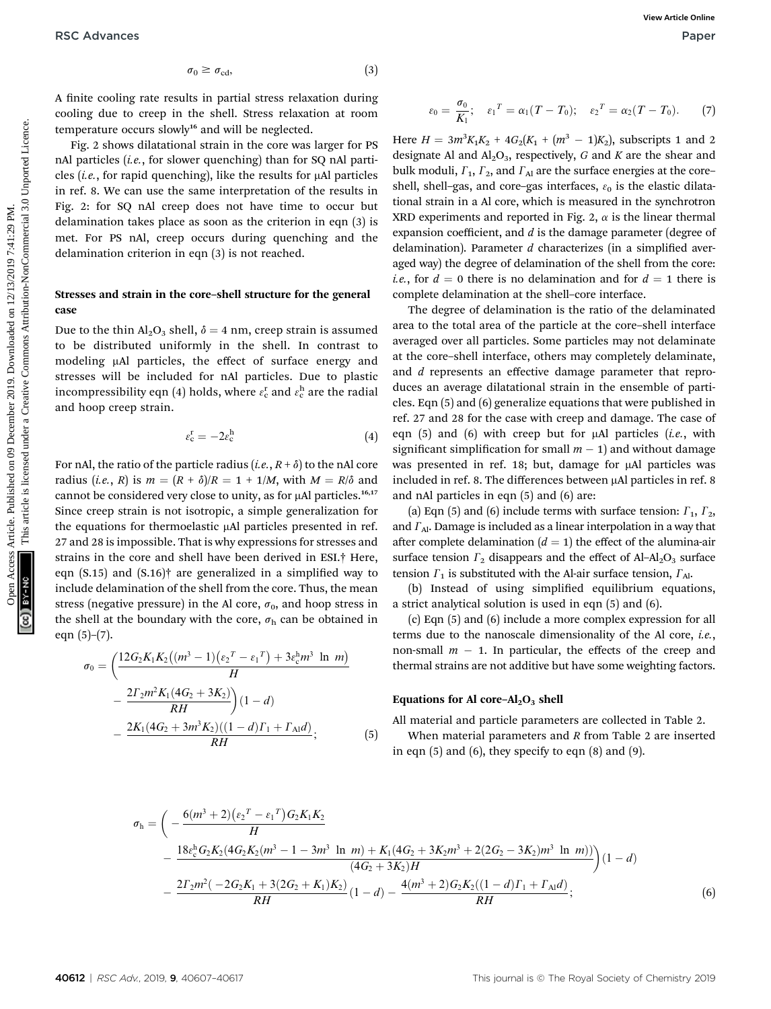A finite cooling rate results in partial stress relaxation during cooling due to creep in the shell. Stress relaxation at room temperature occurs slowly<sup>16</sup> and will be neglected.

Fig. 2 shows dilatational strain in the core was larger for PS nAl particles (i.e., for slower quenching) than for SQ nAl particles (i.e., for rapid quenching), like the results for  $\mu$ Al particles in ref. 8. We can use the same interpretation of the results in Fig. 2: for SQ nAl creep does not have time to occur but delamination takes place as soon as the criterion in eqn (3) is met. For PS nAl, creep occurs during quenching and the delamination criterion in eqn (3) is not reached.

#### Stresses and strain in the core–shell structure for the general case

Due to the thin  $Al_2O_3$  shell,  $\delta = 4$  nm, creep strain is assumed to be distributed uniformly in the shell. In contrast to modeling µAl particles, the effect of surface energy and stresses will be included for nAl particles. Due to plastic incompressibility eqn (4) holds, where  $\varepsilon_{\rm c}^{\rm r}$  and  $\varepsilon_{\rm c}^{\rm h}$  are the radial and hoop creep strain.

$$
\varepsilon_{\rm c}^{\rm r} = -2\varepsilon_{\rm c}^{\rm h} \tag{4}
$$

For nAl, the ratio of the particle radius (*i.e.*,  $R + \delta$ ) to the nAl core radius (*i.e.*, R) is  $m = (R + \delta)/R = 1 + 1/M$ , with  $M = R/\delta$  and cannot be considered very close to unity, as for µAl particles.<sup>16,17</sup> Since creep strain is not isotropic, a simple generalization for the equations for thermoelastic µAl particles presented in ref. 27 and 28 is impossible. That is why expressions for stresses and strains in the core and shell have been derived in ESI.† Here, eqn  $(S.15)$  and  $(S.16)$ <sup>†</sup> are generalized in a simplified way to include delamination of the shell from the core. Thus, the mean stress (negative pressure) in the Al core,  $\sigma_0$ , and hoop stress in the shell at the boundary with the core,  $\sigma_{h}$  can be obtained in eqn  $(5)-(7)$ .

$$
\sigma_0 = \left(\frac{12G_2K_1K_2\left((m^3 - 1)(\epsilon_2{}^T - \epsilon_1{}^T) + 3\epsilon_c^h m^3 \ln m\right)}{H} - \frac{2\Gamma_2m^2K_1(4G_2 + 3K_2)}{RH}\right)(1 - d) - \frac{2K_1(4G_2 + 3m^3K_2)((1 - d)\Gamma_1 + \Gamma_{\text{Al}}d)}{RH};
$$
\n(5)

$$
\varepsilon_0 = \frac{\sigma_0}{K_1}; \quad \varepsilon_1^T = \alpha_1(T - T_0); \quad \varepsilon_2^T = \alpha_2(T - T_0).
$$
 (7)

Here  $H = 3m^3K_1K_2 + 4G_2(K_1 + (m^3 - 1)K_2)$ , subscripts 1 and 2 designate Al and  $Al_2O_3$ , respectively, G and K are the shear and bulk moduli,  $\Gamma_1$ ,  $\Gamma_2$ , and  $\Gamma_{\text{Al}}$  are the surface energies at the coreshell, shell-gas, and core-gas interfaces,  $\varepsilon_0$  is the elastic dilatational strain in a Al core, which is measured in the synchrotron XRD experiments and reported in Fig. 2,  $\alpha$  is the linear thermal expansion coefficient, and  $d$  is the damage parameter (degree of delamination). Parameter  $d$  characterizes (in a simplified averaged way) the degree of delamination of the shell from the core: *i.e.*, for  $d = 0$  there is no delamination and for  $d = 1$  there is complete delamination at the shell–core interface.

The degree of delamination is the ratio of the delaminated area to the total area of the particle at the core–shell interface averaged over all particles. Some particles may not delaminate at the core–shell interface, others may completely delaminate, and *d* represents an effective damage parameter that reproduces an average dilatational strain in the ensemble of particles. Eqn (5) and (6) generalize equations that were published in ref. 27 and 28 for the case with creep and damage. The case of eqn  $(5)$  and  $(6)$  with creep but for  $\mu$ Al particles (*i.e.*, with significant simplification for small  $m - 1$ ) and without damage was presented in ref. 18; but, damage for µAl particles was included in ref. 8. The differences between µAl particles in ref. 8 and nAl particles in eqn (5) and (6) are: RSC Advances  $\sigma_0 \approx \sigma_{\text{min}}$  article. (a)<br>
A their cooling due to creep in the shell, Stress relaxation at room<br>
cooling due to creep in the shell, Stress relaxation at room<br>  $\frac{1}{2}$  PM. This article is measurable in p

(a) Eqn (5) and (6) include terms with surface tension:  $\Gamma_1$ ,  $\Gamma_2$ , and  $\Gamma_{\text{Al}}$ . Damage is included as a linear interpolation in a way that after complete delamination  $(d = 1)$  the effect of the alumina-air surface tension  $\Gamma_2$  disappears and the effect of Al-Al<sub>2</sub>O<sub>3</sub> surface tension  $\Gamma_1$  is substituted with the Al-air surface tension,  $\Gamma_{\text{Al}}$ .

(b) Instead of using simplified equilibrium equations, a strict analytical solution is used in eqn (5) and (6).

(c) Eqn (5) and (6) include a more complex expression for all terms due to the nanoscale dimensionality of the Al core, i.e., non-small  $m - 1$ . In particular, the effects of the creep and thermal strains are not additive but have some weighting factors.

#### Equations for Al core– $Al_2O_3$  shell

All material and particle parameters are collected in Table 2. When material parameters and R from Table 2 are inserted in eqn  $(5)$  and  $(6)$ , they specify to eqn  $(8)$  and  $(9)$ .

$$
\sigma_{\rm h} = \left( -\frac{6(m^3 + 2)(\epsilon_2 T - \epsilon_1 T)G_2 K_1 K_2}{H} - \frac{18\epsilon_{\rm c}^{\rm h} G_2 K_2 (4G_2 K_2 (m^3 - 1 - 3m^3 \ln m) + K_1 (4G_2 + 3K_2 m^3 + 2(2G_2 - 3K_2) m^3 \ln m))}{(4G_2 + 3K_2)H} \right) (1 - d)
$$
  

$$
- \frac{2\Gamma_2 m^2 (-2G_2 K_1 + 3(2G_2 + K_1)K_2)}{RH} (1 - d) - \frac{4(m^3 + 2)G_2 K_2 ((1 - d)\Gamma_1 + \Gamma_{\rm Al} d)}{RH};
$$
(6)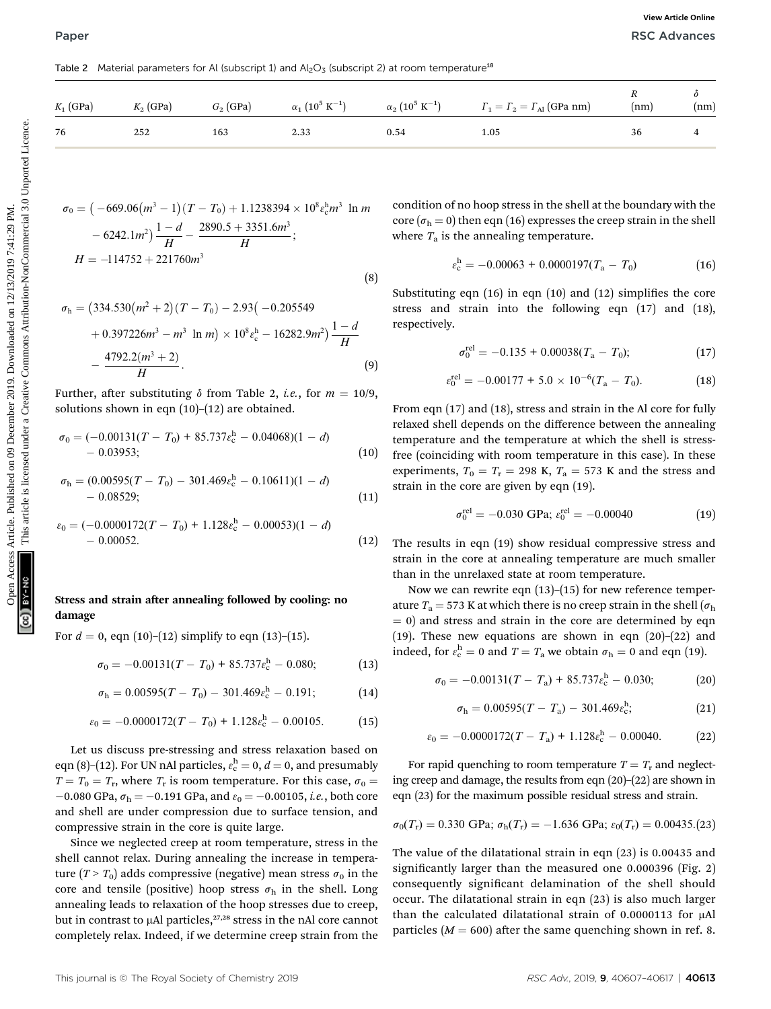Table 2 Material parameters for Al (subscript 1) and  $Al_2O_3$  (subscript 2) at room temperature<sup>18</sup>

| $K_1$ (GPa)  | $K_2$ (GPa)                  | $G_2$ (GPa)                                                                                                                                                                                                                    | $\alpha_1\ (10^5\ \textrm{K}^{-1})$                                                          | $\alpha_2$ $(10^5 \text{ K}^{-1})$                                                                              | $\Gamma_1 = \Gamma_2 = \Gamma_{\text{Al}}$ (GPa nm)                                                                                                                                                                                                                                                                                                                                                        | $\boldsymbol{R}$<br>(nm) | δ<br>(nm) |
|--------------|------------------------------|--------------------------------------------------------------------------------------------------------------------------------------------------------------------------------------------------------------------------------|----------------------------------------------------------------------------------------------|-----------------------------------------------------------------------------------------------------------------|------------------------------------------------------------------------------------------------------------------------------------------------------------------------------------------------------------------------------------------------------------------------------------------------------------------------------------------------------------------------------------------------------------|--------------------------|-----------|
| 76           | 252                          | 163                                                                                                                                                                                                                            | 2.33                                                                                         | 0.54                                                                                                            | 1.05                                                                                                                                                                                                                                                                                                                                                                                                       | 36                       | 4         |
|              | $H = -114752 + 221760m^3$    | $-6242.1m^2\frac{1-d}{H} - \frac{2890.5 + 3351.6m^3}{H};$<br>$\sigma_{\rm h} = (334.530(m^2+2)(T-T_0)-2.93(-0.205549)$                                                                                                         | $\sigma_0 = (-669.06(m^3 - 1)(T - T_0) + 1.1238394 \times 10^8 \epsilon_0^3 m^3 \ln m$       | (8)                                                                                                             | condition of no hoop stress in the shell at the boundary with the<br>core ( $\sigma_h$ = 0) then eqn (16) expresses the creep strain in the shell<br>where $T_a$ is the annealing temperature.<br>$\varepsilon_{\rm c}^{\rm h} = -0.00063 + 0.0000197(T_{\rm a} - T_0)$<br>Substituting eqn $(16)$ in eqn $(10)$ and $(12)$ simplifies the core<br>stress and strain into the following eqn (17) and (18), |                          | (16)      |
|              | $-\frac{4792.2(m^3+2)}{H}$ . |                                                                                                                                                                                                                                | $+0.397226m^3 - m^3 \ln m \times 10^8 \varepsilon_c^{\mathrm{h}} - 16282.9m^2 \frac{1-d}{H}$ | respectively.<br>(9)                                                                                            | $\sigma_0^{\text{rel}} = -0.135 + 0.00038(T_a - T_0);$                                                                                                                                                                                                                                                                                                                                                     |                          | (17)      |
|              |                              |                                                                                                                                                                                                                                | Further, after substituting $\delta$ from Table 2, <i>i.e.</i> , for $m = 10/9$ ,            |                                                                                                                 | $\varepsilon_0^{\text{rel}} = -0.00177 + 5.0 \times 10^{-6} (T_a - T_0).$                                                                                                                                                                                                                                                                                                                                  |                          | (18)      |
| $-0.03953;$  |                              | solutions shown in eqn $(10)$ - $(12)$ are obtained.<br>$\sigma_0 = (-0.00131(T - T_0) + 85.737\epsilon_c^h - 0.04068)(1 - d)$<br>$\sigma_{\rm h} = (0.00595(T - T_0) - 301.469 \varepsilon_{\rm c}^{\rm h} - 0.10611)(1 - d)$ |                                                                                              | (10)                                                                                                            | From eqn $(17)$ and $(18)$ , stress and strain in the Al core for fully<br>relaxed shell depends on the difference between the annealing<br>temperature and the temperature at which the shell is stress-<br>free (coinciding with room temperature in this case). In these<br>experiments, $T_0 = T_r = 298$ K, $T_a = 573$ K and the stress and<br>strain in the core are given by eqn (19).             |                          |           |
| $-0.08529;$  |                              | $\varepsilon_0 = (-0.0000172(T - T_0) + 1.128\varepsilon_{\rm c}^{\rm h} - 0.00053)(1 - d)$                                                                                                                                    |                                                                                              | (11)                                                                                                            | $\sigma_0^{\text{rel}} = -0.030 \text{ GPa}; \ \varepsilon_0^{\text{rel}} = -0.00040$                                                                                                                                                                                                                                                                                                                      |                          | (19)      |
| $-0.00052$ . |                              |                                                                                                                                                                                                                                | Stress and strain after annealing followed by cooling: no                                    | (12)<br>$\overline{5}$ 70 If attaching the theory is no concentrated to the sheal $\overline{1}$ $\overline{1}$ | The results in eqn (19) show residual compressive stress and<br>strain in the core at annealing temperature are much smaller<br>than in the unrelaxed state at room temperature.<br>Now we can rewrite eqn $(13)$ – $(15)$ for new reference temper-                                                                                                                                                       |                          |           |

$$
\sigma_0 = \left( -669.06(m^3 - 1)(T - T_0) + 1.1238394 \times 10^8 \varepsilon_c^h m^3 \ln m - 6242.1 m^2 \right) \frac{1 - d}{H} - \frac{2890.5 + 3351.6 m^3}{H};
$$
  
\n
$$
H = -114752 + 221760 m^3
$$
\n(8)

$$
\sigma_{\rm h} = (334.530(m^2 + 2)(T - T_0) - 2.93(-0.205549
$$
  
+ 0.397226m<sup>3</sup> - m<sup>3</sup> ln m) × 10<sup>8</sup>ε<sub>c</sub><sup>h</sup> - 16282.9m<sup>2</sup>) $\frac{1 - d}{H}$   
-  $\frac{4792.2(m^3 + 2)}{H}$ . (9)

$$
\sigma_0 = (-0.00131(T - T_0) + 85.737\epsilon_c^h - 0.04068)(1 - d) - 0.03953;
$$
 (10)

$$
\sigma_{\rm h} = (0.00595(T - T_0) - 301.469 \varepsilon_{\rm c}^{\rm h} - 0.10611)(1 - d) - 0.08529;
$$
 (11)

$$
\varepsilon_0 = (-0.0000172(T - T_0) + 1.128\varepsilon_c^{\text{h}} - 0.00053)(1 - d) - 0.00052.
$$
 (12)

#### Stress and strain after annealing followed by cooling: no damage

For  $d = 0$ , eqn (10)–(12) simplify to eqn (13)–(15).

$$
\sigma_0 = -0.00131(T - T_0) + 85.737\epsilon_c^{\mathrm{h}} - 0.080; \tag{13}
$$

$$
\sigma_{\rm h} = 0.00595(T - T_0) - 301.469 \varepsilon_{\rm c}^{\rm h} - 0.191; \tag{14}
$$

$$
\varepsilon_0 = -0.0000172(T - T_0) + 1.128\varepsilon_c^{\text{h}} - 0.00105. \tag{15}
$$

Let us discuss pre-stressing and stress relaxation based on eqn (8)–(12). For UN nAl particles,  $\varepsilon_c^{\text{h}} = 0$ ,  $d = 0$ , and presumably  $T = T_0 = T_r$ , where  $T_r$  is room temperature. For this case,  $\sigma_0 = T_r$  $-0.080$  GPa,  $\sigma_{\rm h} = -0.191$  GPa, and  $\varepsilon_{0} = -0.00105$ , *i.e.*, both core and shell are under compression due to surface tension, and compressive strain in the core is quite large.

Since we neglected creep at room temperature, stress in the shell cannot relax. During annealing the increase in temperature  $(T > T_0)$  adds compressive (negative) mean stress  $\sigma_0$  in the core and tensile (positive) hoop stress  $\sigma_h$  in the shell. Long annealing leads to relaxation of the hoop stresses due to creep, but in contrast to  $\mu$ Al particles,<sup>27,28</sup> stress in the nAl core cannot completely relax. Indeed, if we determine creep strain from the

$$
\varepsilon_{\rm c}^{\rm h} = -0.00063 + 0.0000197(T_{\rm a} - T_0) \tag{16}
$$

$$
\sigma_0^{\text{rel}} = -0.135 + 0.00038(T_\text{a} - T_0); \tag{17}
$$

$$
\varepsilon_0^{\text{rel}} = -0.00177 + 5.0 \times 10^{-6} (T_a - T_0). \tag{18}
$$

$$
\sigma_0^{\text{rel}} = -0.030 \text{ GPa}; \ \varepsilon_0^{\text{rel}} = -0.00040 \tag{19}
$$

Now we can rewrite eqn  $(13)$ – $(15)$  for new reference temperature  $T_a = 573$  K at which there is no creep strain in the shell ( $\sigma_h$ )  $(0, 0)$  and stress and strain in the core are determined by eqn (19). These new equations are shown in eqn (20)–(22) and indeed, for  $\varepsilon_c^{\text{h}} = 0$  and  $T = T_{\text{a}}$  we obtain  $\sigma_{\text{h}} = 0$  and eqn (19).

$$
\sigma_0 = -0.00131(T - T_a) + 85.737\epsilon_c^h - 0.030;
$$
 (20)

$$
\sigma_{\rm h} = 0.00595(T - T_{\rm a}) - 301.469 \varepsilon_{\rm c}^{\rm h},\tag{21}
$$

$$
\varepsilon_0 = -0.0000172(T - T_a) + 1.128\varepsilon_c^{\text{h}} - 0.00040. \tag{22}
$$

For rapid quenching to room temperature  $T = T<sub>r</sub>$  and neglecting creep and damage, the results from eqn (20)–(22) are shown in eqn (23) for the maximum possible residual stress and strain.

$$
\sigma_0(T_r) = 0.330 \text{ GPa}; \ \sigma_h(T_r) = -1.636 \text{ GPa}; \ \varepsilon_0(T_r) = 0.00435.(23)
$$

The value of the dilatational strain in eqn (23) is 0.00435 and significantly larger than the measured one 0.000396 (Fig. 2) consequently significant delamination of the shell should occur. The dilatational strain in eqn (23) is also much larger than the calculated dilatational strain of  $0.0000113$  for  $\mu$ Al particles ( $M = 600$ ) after the same quenching shown in ref. 8.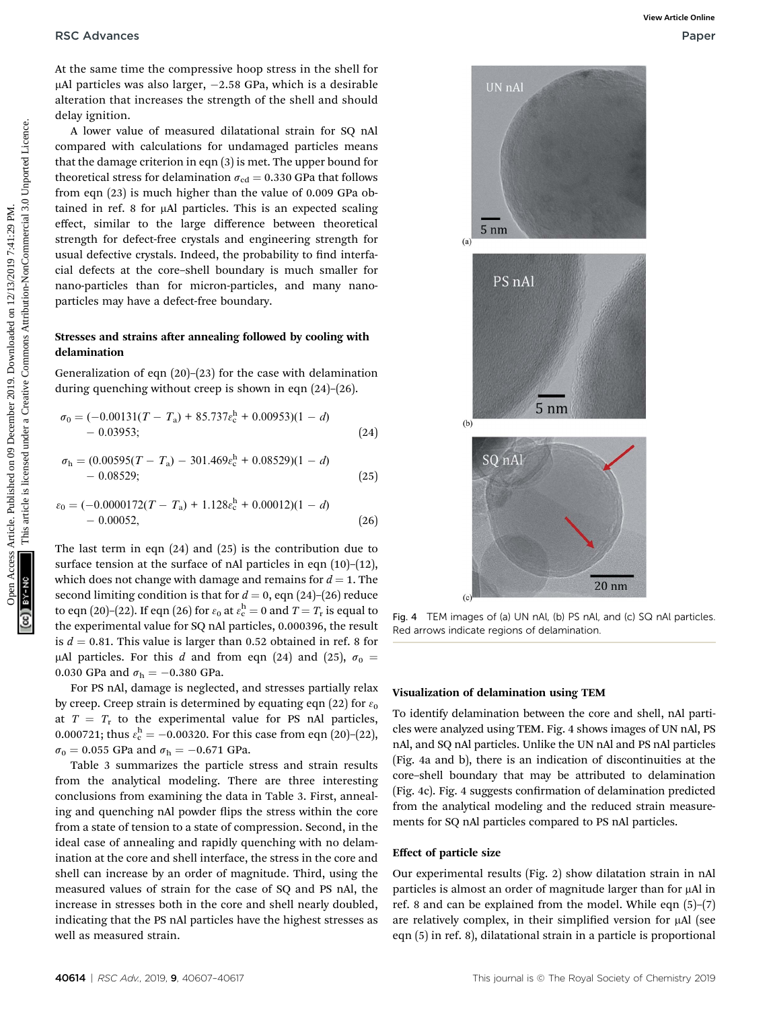At the same time the compressive hoop stress in the shell for  $\mu$ Al particles was also larger,  $-2.58$  GPa, which is a desirable alteration that increases the strength of the shell and should delay ignition.

A lower value of measured dilatational strain for SQ nAl compared with calculations for undamaged particles means that the damage criterion in eqn (3) is met. The upper bound for theoretical stress for delamination  $\sigma_{\text{cd}} = 0.330$  GPa that follows from eqn (23) is much higher than the value of 0.009 GPa obtained in ref. 8 for  $\mu$ Al particles. This is an expected scaling effect, similar to the large difference between theoretical strength for defect-free crystals and engineering strength for usual defective crystals. Indeed, the probability to find interfacial defects at the core–shell boundary is much smaller for nano-particles than for micron-particles, and many nanoparticles may have a defect-free boundary.

#### Stresses and strains after annealing followed by cooling with delamination

Generalization of eqn (20)–(23) for the case with delamination during quenching without creep is shown in eqn (24)–(26).

$$
\sigma_0 = (-0.00131(T - T_a) + 85.737\epsilon_c^h + 0.00953)(1 - d) - 0.03953;
$$
 (24)

$$
\sigma_{\rm h} = (0.00595(T - T_{\rm a}) - 301.469 \varepsilon_{\rm c}^{\rm h} + 0.08529)(1 - d) - 0.08529;
$$
\n(25)

$$
\varepsilon_0 = (-0.0000172(T - T_a) + 1.128\varepsilon_c^h + 0.00012)(1 - d) - 0.00052,
$$
 (26)

The last term in eqn (24) and (25) is the contribution due to surface tension at the surface of nAl particles in eqn  $(10)$ – $(12)$ , which does not change with damage and remains for  $d = 1$ . The second limiting condition is that for  $d = 0$ , eqn (24)–(26) reduce to eqn (20)–(22). If eqn (26) for  $\varepsilon_0$  at  $\varepsilon_c^{\text{h}} = 0$  and  $T = T_r$  is equal to the experimental value for SQ nAl particles, 0.000396, the result is  $d = 0.81$ . This value is larger than 0.52 obtained in ref. 8 for µAl particles. For this d and from eqn (24) and (25),  $\sigma_0 =$ 0.030 GPa and  $\sigma_{h} = -0.380$  GPa.

For PS nAl, damage is neglected, and stresses partially relax by creep. Creep strain is determined by equating eqn (22) for  $\varepsilon_0$ at  $T = T_r$  to the experimental value for PS nAl particles, 0.000721; thus  $\varepsilon_c^{\text{h}} = -0.00320$ . For this case from eqn (20)-(22),  $\sigma_0 = 0.055$  GPa and  $\sigma_h = -0.671$  GPa.

Table 3 summarizes the particle stress and strain results from the analytical modeling. There are three interesting conclusions from examining the data in Table 3. First, annealing and quenching nAl powder flips the stress within the core from a state of tension to a state of compression. Second, in the ideal case of annealing and rapidly quenching with no delamination at the core and shell interface, the stress in the core and shell can increase by an order of magnitude. Third, using the measured values of strain for the case of SQ and PS nAl, the increase in stresses both in the core and shell nearly doubled, indicating that the PS nAl particles have the highest stresses as well as measured strain.



Fig. 4 TEM images of (a) UN nAl, (b) PS nAl, and (c) SQ nAl particles. Red arrows indicate regions of delamination.

#### Visualization of delamination using TEM

To identify delamination between the core and shell, nAl particles were analyzed using TEM. Fig. 4 shows images of UN nAl, PS nAl, and SQ nAl particles. Unlike the UN nAl and PS nAl particles (Fig. 4a and b), there is an indication of discontinuities at the core–shell boundary that may be attributed to delamination (Fig. 4c). Fig. 4 suggests confirmation of delamination predicted from the analytical modeling and the reduced strain measurements for SQ nAl particles compared to PS nAl particles.

#### Effect of particle size

Our experimental results (Fig. 2) show dilatation strain in nAl particles is almost an order of magnitude larger than for µAl in ref. 8 and can be explained from the model. While eqn (5)–(7) are relatively complex, in their simplified version for  $\mu$ Al (see eqn (5) in ref. 8), dilatational strain in a particle is proportional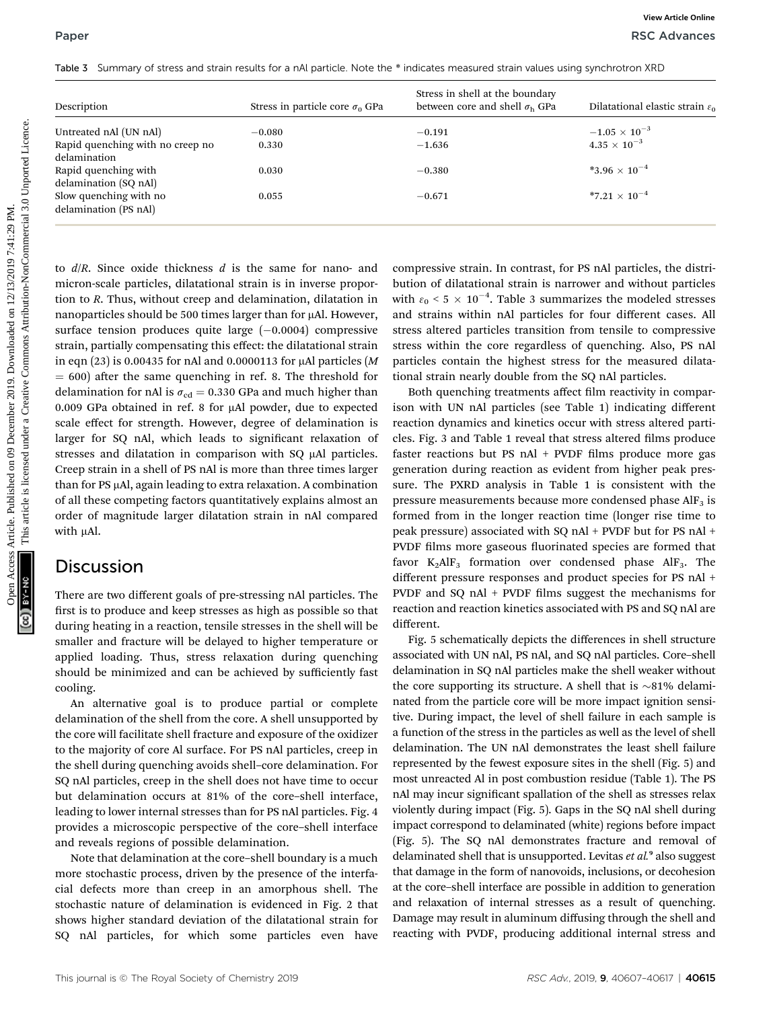|  |  |  |  | Table 3 Summary of stress and strain results for a nAl particle. Note the * indicates measured strain values using synchrotron XRD |
|--|--|--|--|------------------------------------------------------------------------------------------------------------------------------------|
|--|--|--|--|------------------------------------------------------------------------------------------------------------------------------------|

| Description                                                  | Stress in particle core $\sigma_0$ GPa                                                                                            | Stress in shell at the boundary<br>between core and shell $\sigma_{\rm h}$ GPa                                                    | Dilatational elastic strain $\varepsilon_0$                                           |
|--------------------------------------------------------------|-----------------------------------------------------------------------------------------------------------------------------------|-----------------------------------------------------------------------------------------------------------------------------------|---------------------------------------------------------------------------------------|
| Untreated nAl (UN nAl)                                       | $-0.080$                                                                                                                          | $-0.191$                                                                                                                          | $-1.05\,\times\,10^{-3}$                                                              |
| Rapid quenching with no creep no<br>delamination             | 0.330                                                                                                                             | $-1.636$                                                                                                                          | $4.35\times10^{-3}$                                                                   |
| Rapid quenching with<br>delamination (SQ nAl)                | 0.030                                                                                                                             | $-0.380$                                                                                                                          | *3.96 $\times$ 10 <sup>-4</sup>                                                       |
| Slow quenching with no<br>delamination (PS nAl)              | 0.055                                                                                                                             | $-0.671$                                                                                                                          | *7.21 $\times$ 10 <sup>-4</sup>                                                       |
| surface tension produces quite large $(-0.0004)$ compressive | tion to R. Thus, without creep and delamination, dilatation in<br>nanoparticles should be 500 times larger than for µAl. However, | and strains within nAl particles for four different cases. All<br>stress altered particles transition from tensile to compressive | with $\varepsilon_0$ < 5 × 10 <sup>-4</sup> . Table 3 summarizes the modeled stresses |

#### **Discussion**

There are two different goals of pre-stressing nAl particles. The first is to produce and keep stresses as high as possible so that during heating in a reaction, tensile stresses in the shell will be smaller and fracture will be delayed to higher temperature or applied loading. Thus, stress relaxation during quenching should be minimized and can be achieved by sufficiently fast cooling.

An alternative goal is to produce partial or complete delamination of the shell from the core. A shell unsupported by the core will facilitate shell fracture and exposure of the oxidizer to the majority of core Al surface. For PS nAl particles, creep in the shell during quenching avoids shell–core delamination. For SQ nAl particles, creep in the shell does not have time to occur but delamination occurs at 81% of the core–shell interface, leading to lower internal stresses than for PS nAl particles. Fig. 4 provides a microscopic perspective of the core–shell interface and reveals regions of possible delamination.

Note that delamination at the core–shell boundary is a much more stochastic process, driven by the presence of the interfacial defects more than creep in an amorphous shell. The stochastic nature of delamination is evidenced in Fig. 2 that shows higher standard deviation of the dilatational strain for SQ nAl particles, for which some particles even have

Both quenching treatments affect film reactivity in comparison with UN nAl particles (see Table 1) indicating different reaction dynamics and kinetics occur with stress altered particles. Fig. 3 and Table 1 reveal that stress altered films produce faster reactions but PS  $n$ Al + PVDF films produce more gas generation during reaction as evident from higher peak pressure. The PXRD analysis in Table 1 is consistent with the pressure measurements because more condensed phase  $\text{AlF}_3$  is formed from in the longer reaction time (longer rise time to peak pressure) associated with SQ nAl + PVDF but for PS nAl + PVDF films more gaseous fluorinated species are formed that favor  $K_2AIF_3$  formation over condensed phase  $AIF_3$ . The different pressure responses and product species for PS nAl + PVDF and SQ nAl + PVDF films suggest the mechanisms for reaction and reaction kinetics associated with PS and SQ nAl are different.

Fig. 5 schematically depicts the differences in shell structure associated with UN nAl, PS nAl, and SQ nAl particles. Core–shell delamination in SQ nAl particles make the shell weaker without the core supporting its structure. A shell that is  $\sim$ 81% delaminated from the particle core will be more impact ignition sensitive. During impact, the level of shell failure in each sample is a function of the stress in the particles as well as the level of shell delamination. The UN nAl demonstrates the least shell failure represented by the fewest exposure sites in the shell (Fig. 5) and most unreacted Al in post combustion residue (Table 1). The PS nAl may incur significant spallation of the shell as stresses relax violently during impact (Fig. 5). Gaps in the SQ nAl shell during impact correspond to delaminated (white) regions before impact (Fig. 5). The SQ nAl demonstrates fracture and removal of delaminated shell that is unsupported. Levitas et al.<sup>9</sup> also suggest that damage in the form of nanovoids, inclusions, or decohesion at the core–shell interface are possible in addition to generation and relaxation of internal stresses as a result of quenching. Damage may result in aluminum diffusing through the shell and reacting with PVDF, producing additional internal stress and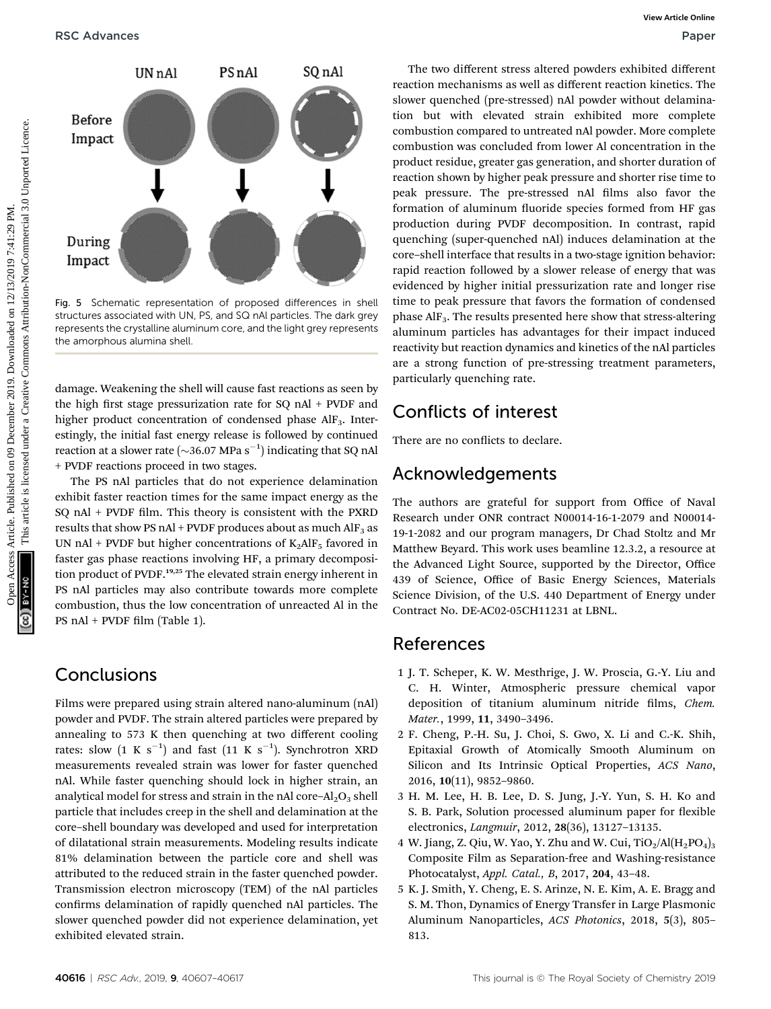

Fig. 5 Schematic representation of proposed differences in shell structures associated with UN, PS, and SQ nAl particles. The dark grey represents the crystalline aluminum core, and the light grey represents the amorphous alumina shell.

damage. Weakening the shell will cause fast reactions as seen by the high first stage pressurization rate for  $SQ$  nAl + PVDF and higher product concentration of condensed phase AlF<sub>3</sub>. Interestingly, the initial fast energy release is followed by continued reaction at a slower rate ( $\sim$ 36.07 MPa s<sup>-1</sup>) indicating that SQ nAl + PVDF reactions proceed in two stages.

The PS nAl particles that do not experience delamination exhibit faster reaction times for the same impact energy as the  $SQ$  nAl + PVDF film. This theory is consistent with the PXRD results that show PS nAl + PVDF produces about as much  $\rm{AlF_3}$  as UN nAl + PVDF but higher concentrations of  $K_2$ AlF<sub>5</sub> favored in faster gas phase reactions involving HF, a primary decomposition product of PVDF.<sup>19,25</sup> The elevated strain energy inherent in PS nAl particles may also contribute towards more complete combustion, thus the low concentration of unreacted Al in the PS nAl + PVDF film (Table 1).

# **Conclusions**

Films were prepared using strain altered nano-aluminum (nAl) powder and PVDF. The strain altered particles were prepared by annealing to 573 K then quenching at two different cooling rates: slow  $(1 \,$  K  $\, {\rm s}^{-1})$  and fast  $(11 \,$  K  $\, {\rm s}^{-1})$ . Synchrotron XRD measurements revealed strain was lower for faster quenched nAl. While faster quenching should lock in higher strain, an analytical model for stress and strain in the nAl core– $Al_2O_3$  shell particle that includes creep in the shell and delamination at the core–shell boundary was developed and used for interpretation of dilatational strain measurements. Modeling results indicate 81% delamination between the particle core and shell was attributed to the reduced strain in the faster quenched powder. Transmission electron microscopy (TEM) of the nAl particles confirms delamination of rapidly quenched nAl particles. The slower quenched powder did not experience delamination, yet exhibited elevated strain.

The two different stress altered powders exhibited different reaction mechanisms as well as different reaction kinetics. The slower quenched (pre-stressed) nAl powder without delamination but with elevated strain exhibited more complete combustion compared to untreated nAl powder. More complete combustion was concluded from lower Al concentration in the product residue, greater gas generation, and shorter duration of reaction shown by higher peak pressure and shorter rise time to peak pressure. The pre-stressed nAl films also favor the formation of aluminum fluoride species formed from HF gas production during PVDF decomposition. In contrast, rapid quenching (super-quenched nAl) induces delamination at the core–shell interface that results in a two-stage ignition behavior: rapid reaction followed by a slower release of energy that was evidenced by higher initial pressurization rate and longer rise time to peak pressure that favors the formation of condensed phase AlF3. The results presented here show that stress-altering aluminum particles has advantages for their impact induced reactivity but reaction dynamics and kinetics of the nAl particles are a strong function of pre-stressing treatment parameters, particularly quenching rate. ORE Access Articles. Published on 12 December 2019. The two different states altered product common and the method in the state of the case of the case of the case of the case of the case of the case of the case of the ca

# Conflicts of interest

There are no conflicts to declare.

# Acknowledgements

The authors are grateful for support from Office of Naval Research under ONR contract N00014-16-1-2079 and N00014- 19-1-2082 and our program managers, Dr Chad Stoltz and Mr Matthew Beyard. This work uses beamline 12.3.2, a resource at the Advanced Light Source, supported by the Director, Office 439 of Science, Office of Basic Energy Sciences, Materials Science Division, of the U.S. 440 Department of Energy under Contract No. DE-AC02-05CH11231 at LBNL.

# References

- 1 J. T. Scheper, K. W. Mesthrige, J. W. Proscia, G.-Y. Liu and C. H. Winter, Atmospheric pressure chemical vapor deposition of titanium aluminum nitride films, Chem. Mater., 1999, 11, 3490–3496.
- 2 F. Cheng, P.-H. Su, J. Choi, S. Gwo, X. Li and C.-K. Shih, Epitaxial Growth of Atomically Smooth Aluminum on Silicon and Its Intrinsic Optical Properties, ACS Nano, 2016, 10(11), 9852–9860.
- 3 H. M. Lee, H. B. Lee, D. S. Jung, J.-Y. Yun, S. H. Ko and S. B. Park, Solution processed aluminum paper for flexible electronics, Langmuir, 2012, 28(36), 13127–13135.
- 4 W. Jiang, Z. Qiu, W. Yao, Y. Zhu and W. Cui,  $TiO<sub>2</sub>/Al(H<sub>2</sub>PO<sub>4</sub>)<sub>3</sub>$ Composite Film as Separation-free and Washing-resistance Photocatalyst, Appl. Catal., B, 2017, 204, 43–48.
- 5 K. J. Smith, Y. Cheng, E. S. Arinze, N. E. Kim, A. E. Bragg and S. M. Thon, Dynamics of Energy Transfer in Large Plasmonic Aluminum Nanoparticles, ACS Photonics, 2018, 5(3), 805– 813.